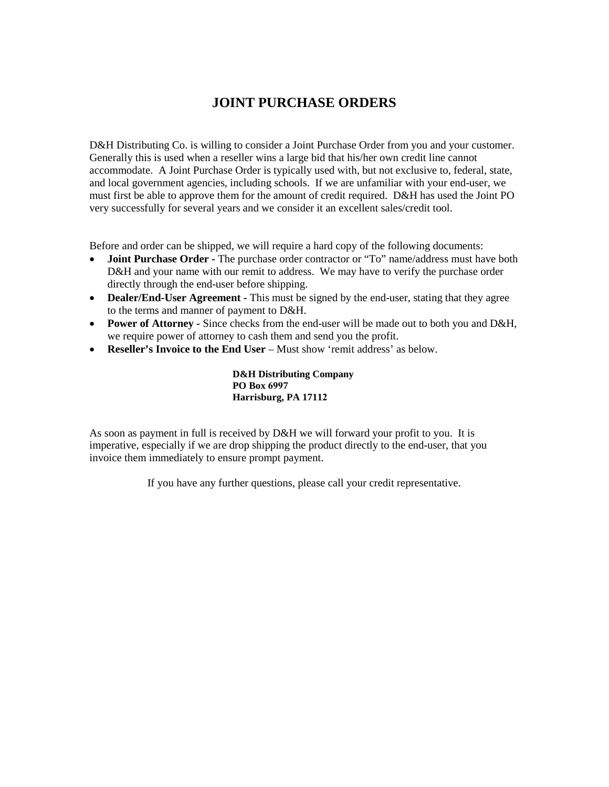# **JOINT PURCHASE ORDERS**

D&H Distributing Co. is willing to consider a Joint Purchase Order from you and your customer. Generally this is used when a reseller wins a large bid that his/her own credit line cannot accommodate. A Joint Purchase Order is typically used with, but not exclusive to, federal, state, and local government agencies, including schools. If we are unfamiliar with your end-user, we must first be able to approve them for the amount of credit required. D&H has used the Joint PO very successfully for several years and we consider it an excellent sales/credit tool.

Before and order can be shipped, we will require a hard copy of the following documents:

- **Joint Purchase Order** The purchase order contractor or "To" name/address must have both D&H and your name with our remit to address. We may have to verify the purchase order directly through the end-user before shipping.
- **Dealer/End-User Agreement -** This must be signed by the end-user, stating that they agree to the terms and manner of payment to D&H.
- **Power of Attorney** Since checks from the end-user will be made out to both you and D&H, we require power of attorney to cash them and send you the profit.
- **Reseller's Invoice to the End User** Must show 'remit address' as below.

**D&H Distributing Company PO Box 6997 Harrisburg, PA 17112**

As soon as payment in full is received by D&H we will forward your profit to you. It is imperative, especially if we are drop shipping the product directly to the end-user, that you invoice them immediately to ensure prompt payment.

If you have any further questions, please call your credit representative.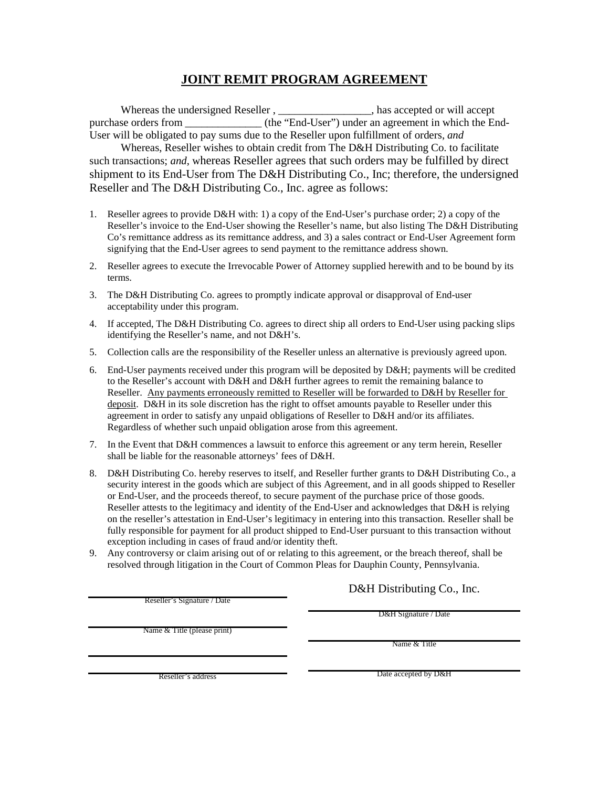# **JOINT REMIT PROGRAM AGREEMENT**

Whereas the undersigned Reseller , \_\_\_\_\_\_\_\_\_\_\_\_\_\_\_\_\_, has accepted or will accept purchase orders from  $(the "End-User")$  under an agreement in which the End-User will be obligated to pay sums due to the Reseller upon fulfillment of orders, *and*

Whereas, Reseller wishes to obtain credit from The D&H Distributing Co. to facilitate such transactions; *and*, whereas Reseller agrees that such orders may be fulfilled by direct shipment to its End-User from The D&H Distributing Co., Inc; therefore, the undersigned Reseller and The D&H Distributing Co., Inc. agree as follows:

- 1. Reseller agrees to provide D&H with: 1) a copy of the End-User's purchase order; 2) a copy of the Reseller's invoice to the End-User showing the Reseller's name, but also listing The D&H Distributing Co's remittance address as its remittance address, and 3) a sales contract or End-User Agreement form signifying that the End-User agrees to send payment to the remittance address shown.
- 2. Reseller agrees to execute the Irrevocable Power of Attorney supplied herewith and to be bound by its terms.
- 3. The D&H Distributing Co. agrees to promptly indicate approval or disapproval of End-user acceptability under this program.
- 4. If accepted, The D&H Distributing Co. agrees to direct ship all orders to End-User using packing slips identifying the Reseller's name, and not D&H's.
- 5. Collection calls are the responsibility of the Reseller unless an alternative is previously agreed upon.
- 6. End-User payments received under this program will be deposited by D&H; payments will be credited to the Reseller's account with D&H and D&H further agrees to remit the remaining balance to Reseller. Any payments erroneously remitted to Reseller will be forwarded to D&H by Reseller for deposit. D&H in its sole discretion has the right to offset amounts payable to Reseller under this agreement in order to satisfy any unpaid obligations of Reseller to D&H and/or its affiliates. Regardless of whether such unpaid obligation arose from this agreement.
- 7. In the Event that D&H commences a lawsuit to enforce this agreement or any term herein, Reseller shall be liable for the reasonable attorneys' fees of D&H.
- 8. D&H Distributing Co. hereby reserves to itself, and Reseller further grants to D&H Distributing Co., a security interest in the goods which are subject of this Agreement, and in all goods shipped to Reseller or End-User, and the proceeds thereof, to secure payment of the purchase price of those goods. Reseller attests to the legitimacy and identity of the End-User and acknowledges that D&H is relying on the reseller's attestation in End-User's legitimacy in entering into this transaction. Reseller shall be fully responsible for payment for all product shipped to End-User pursuant to this transaction without exception including in cases of fraud and/or identity theft.
- 9. Any controversy or claim arising out of or relating to this agreement, or the breach thereof, shall be resolved through litigation in the Court of Common Pleas for Dauphin County, Pennsylvania.

Reseller's Signature / Date

Name & Title (please print)

D&H Distributing Co., Inc.

D&H Signature / Date

Name & Title

Reseller's address

Date accepted by D&H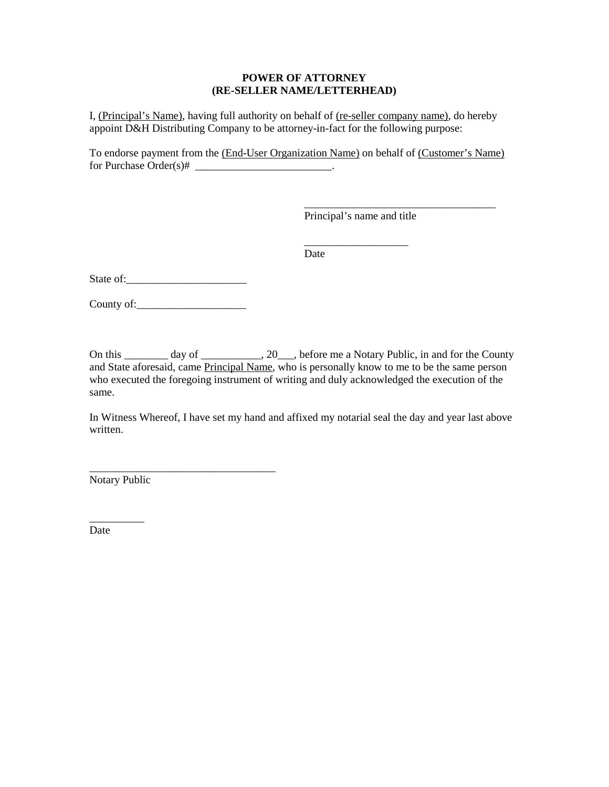#### **POWER OF ATTORNEY (RE-SELLER NAME/LETTERHEAD)**

I, (Principal's Name), having full authority on behalf of (re-seller company name), do hereby appoint D&H Distributing Company to be attorney-in-fact for the following purpose:

To endorse payment from the (End-User Organization Name) on behalf of (Customer's Name) for Purchase  $Order(s)$ # \_\_\_\_\_\_\_\_\_\_\_\_\_\_\_\_\_\_\_\_\_\_\_\_\_\_\_\_\_\_\_\_.

Principal's name and title

\_\_\_\_\_\_\_\_\_\_\_\_\_\_\_\_\_\_\_

\_\_\_\_\_\_\_\_\_\_\_\_\_\_\_\_\_\_\_\_\_\_\_\_\_\_\_\_\_\_\_\_\_\_\_

Date

State of:\_\_\_\_\_\_\_\_\_\_\_\_\_\_\_\_\_\_\_\_\_\_

County of:\_\_\_\_\_\_\_\_\_\_\_\_\_\_\_\_\_\_\_\_

\_\_\_\_\_\_\_\_\_\_\_\_\_\_\_\_\_\_\_\_\_\_\_\_\_\_\_\_\_\_\_\_\_\_

On this \_\_\_\_\_\_\_\_ day of \_\_\_\_\_\_\_\_\_, 20\_\_\_, before me a Notary Public, in and for the County and State aforesaid, came Principal Name, who is personally know to me to be the same person who executed the foregoing instrument of writing and duly acknowledged the execution of the same.

In Witness Whereof, I have set my hand and affixed my notarial seal the day and year last above written.

Notary Public

\_\_\_\_\_\_\_\_\_\_

Date